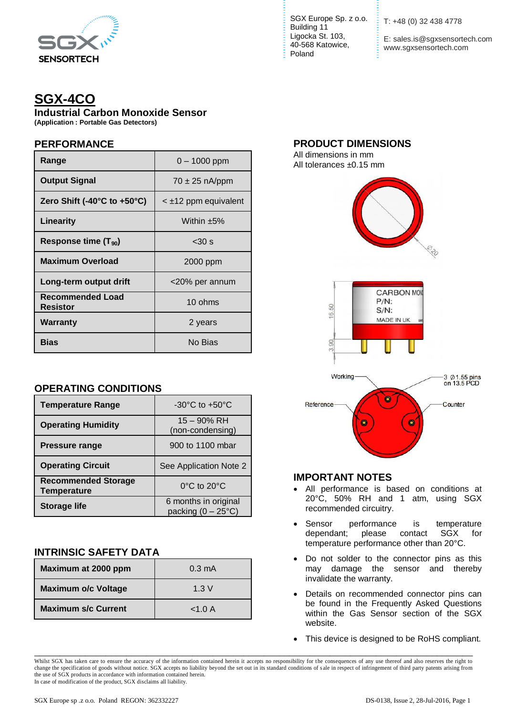

# **SGX-4CO**

**Industrial Carbon Monoxide Sensor**

**(Application : Portable Gas Detectors)**

## **PERFORMANCE**

| Range                               | $0 - 1000$ ppm            |  |
|-------------------------------------|---------------------------|--|
| <b>Output Signal</b>                | $70 \pm 25$ nA/ppm        |  |
| Zero Shift (-40°C to +50°C)         | $\leq$ ±12 ppm equivalent |  |
| Linearity                           | Within $±5\%$             |  |
| Response time $(T_{90})$            | $<$ 30 s                  |  |
| <b>Maximum Overload</b>             | 2000 ppm                  |  |
| Long-term output drift              | <20% per annum            |  |
| Recommended Load<br><b>Resistor</b> | 10 ohms                   |  |
| Warranty                            | 2 years                   |  |
| Bias                                | No Bias                   |  |

## **OPERATING CONDITIONS**

| <b>Temperature Range</b>                         | $-30^{\circ}$ C to $+50^{\circ}$ C                  |  |
|--------------------------------------------------|-----------------------------------------------------|--|
| <b>Operating Humidity</b>                        | $15 - 90\%$ RH<br>(non-condensing)                  |  |
| <b>Pressure range</b>                            | 900 to 1100 mbar                                    |  |
| <b>Operating Circuit</b>                         | See Application Note 2                              |  |
| <b>Recommended Storage</b><br><b>Temperature</b> | $0^{\circ}$ C to $20^{\circ}$ C                     |  |
| <b>Storage life</b>                              | 6 months in original<br>packing $(0 - 25^{\circ}C)$ |  |

## **INTRINSIC SAFETY DATA**

| Maximum at 2000 ppm        | $0.3 \text{ mA}$ |
|----------------------------|------------------|
| <b>Maximum o/c Voltage</b> | 1.3V             |
| <b>Maximum s/c Current</b> | < 1.0 A          |

SGX Europe Sp. z o.o. Building 11 Ligocka St. 103, 40-568 Katowice, Poland

T: +48 (0) 32 438 4778

E: sales.is@sgxsensortech.com www.sgxsensortech.com

#### **PRODUCT DIMENSIONS**

All dimensions in mm All tolerances ±0.15 mm



### **IMPORTANT NOTES**

- All performance is based on conditions at 20°C, 50% RH and 1 atm, using SGX recommended circuitry.
- Sensor performance is temperature dependant; please contact SGX for temperature performance other than 20°C.
- Do not solder to the connector pins as this may damage the sensor and thereby invalidate the warranty.
- Details on recommended connector pins can be found in the Frequently Asked Questions within the Gas Sensor section of the SGX website.
- This device is designed to be RoHS compliant.

\_\_\_\_\_\_\_\_\_\_\_\_\_\_\_\_\_\_\_\_\_\_\_\_\_\_\_\_\_\_\_\_\_\_\_\_\_\_\_\_\_\_\_\_\_\_\_\_\_\_\_\_\_\_\_\_\_\_\_\_\_\_\_\_\_\_\_\_\_\_\_\_\_\_\_\_\_\_\_\_\_\_\_\_\_\_

Whilst SGX has taken care to ensure the accuracy of the information contained herein it accepts no responsibility for the consequences of any use thereof and also reserves the right to change the specification of goods without notice. SGX accepts no liability beyond the set out in its standard conditions of s ale in respect of infringement of third party patents arising from the use of SGX products in accordance with information contained herein. In case of modification of the product, SGX disclaims all liability.